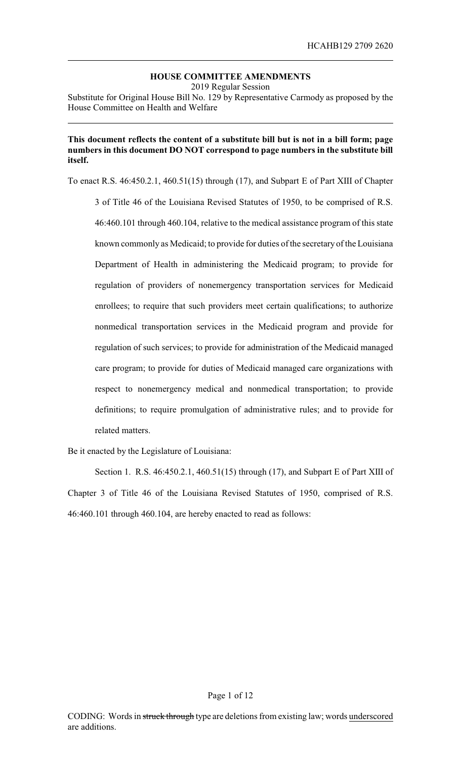# **HOUSE COMMITTEE AMENDMENTS**

2019 Regular Session

Substitute for Original House Bill No. 129 by Representative Carmody as proposed by the House Committee on Health and Welfare

#### **This document reflects the content of a substitute bill but is not in a bill form; page numbers in this document DO NOT correspond to page numbers in the substitute bill itself.**

To enact R.S. 46:450.2.1, 460.51(15) through (17), and Subpart E of Part XIII of Chapter

3 of Title 46 of the Louisiana Revised Statutes of 1950, to be comprised of R.S. 46:460.101 through 460.104, relative to the medical assistance program of this state known commonly as Medicaid; to provide for duties of the secretaryof the Louisiana Department of Health in administering the Medicaid program; to provide for regulation of providers of nonemergency transportation services for Medicaid enrollees; to require that such providers meet certain qualifications; to authorize nonmedical transportation services in the Medicaid program and provide for regulation of such services; to provide for administration of the Medicaid managed care program; to provide for duties of Medicaid managed care organizations with respect to nonemergency medical and nonmedical transportation; to provide definitions; to require promulgation of administrative rules; and to provide for related matters.

Be it enacted by the Legislature of Louisiana:

Section 1. R.S. 46:450.2.1, 460.51(15) through (17), and Subpart E of Part XIII of Chapter 3 of Title 46 of the Louisiana Revised Statutes of 1950, comprised of R.S. 46:460.101 through 460.104, are hereby enacted to read as follows: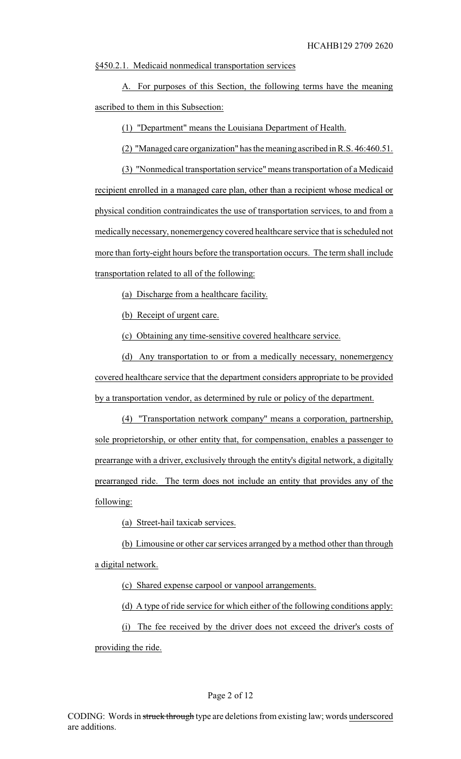§450.2.1. Medicaid nonmedical transportation services

A. For purposes of this Section, the following terms have the meaning ascribed to them in this Subsection:

(1) "Department" means the Louisiana Department of Health.

(2) "Managed care organization" has the meaning ascribed in R.S. 46:460.51.

(3) "Nonmedical transportation service" means transportation of a Medicaid recipient enrolled in a managed care plan, other than a recipient whose medical or physical condition contraindicates the use of transportation services, to and from a medically necessary, nonemergency covered healthcare service that is scheduled not more than forty-eight hours before the transportation occurs. The term shall include transportation related to all of the following:

(a) Discharge from a healthcare facility.

(b) Receipt of urgent care.

(c) Obtaining any time-sensitive covered healthcare service.

(d) Any transportation to or from a medically necessary, nonemergency covered healthcare service that the department considers appropriate to be provided by a transportation vendor, as determined by rule or policy of the department.

(4) "Transportation network company" means a corporation, partnership, sole proprietorship, or other entity that, for compensation, enables a passenger to prearrange with a driver, exclusively through the entity's digital network, a digitally prearranged ride. The term does not include an entity that provides any of the following:

(a) Street-hail taxicab services.

(b) Limousine or other car services arranged by a method other than through a digital network.

(c) Shared expense carpool or vanpool arrangements.

(d) A type of ride service for which either of the following conditions apply:

(i) The fee received by the driver does not exceed the driver's costs of

providing the ride.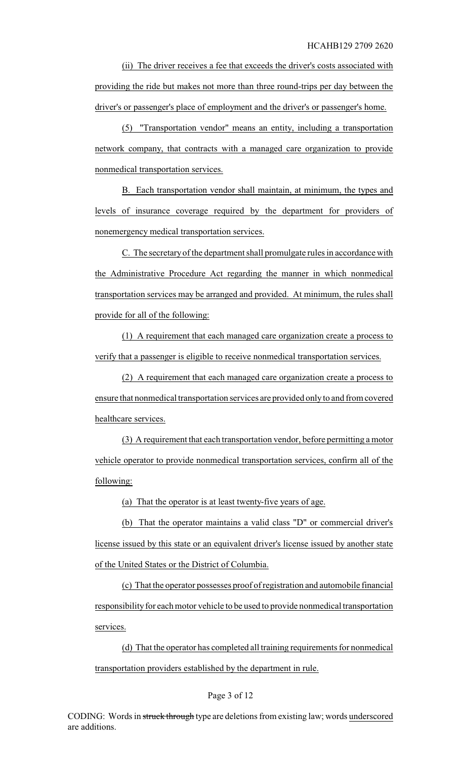(ii) The driver receives a fee that exceeds the driver's costs associated with providing the ride but makes not more than three round-trips per day between the driver's or passenger's place of employment and the driver's or passenger's home.

(5) "Transportation vendor" means an entity, including a transportation network company, that contracts with a managed care organization to provide nonmedical transportation services.

B. Each transportation vendor shall maintain, at minimum, the types and levels of insurance coverage required by the department for providers of nonemergency medical transportation services.

C. The secretaryof the department shall promulgate rules in accordance with the Administrative Procedure Act regarding the manner in which nonmedical transportation services may be arranged and provided. At minimum, the rules shall provide for all of the following:

(1) A requirement that each managed care organization create a process to verify that a passenger is eligible to receive nonmedical transportation services.

(2) A requirement that each managed care organization create a process to ensure that nonmedical transportation services are provided onlyto and from covered healthcare services.

(3) A requirement that each transportation vendor, before permitting a motor vehicle operator to provide nonmedical transportation services, confirm all of the following:

(a) That the operator is at least twenty-five years of age.

(b) That the operator maintains a valid class "D" or commercial driver's license issued by this state or an equivalent driver's license issued by another state of the United States or the District of Columbia.

(c) That the operator possesses proof of registration and automobile financial responsibility for each motor vehicle to be used to provide nonmedical transportation services.

(d) That the operator has completed all training requirements for nonmedical transportation providers established by the department in rule.

#### Page 3 of 12

CODING: Words in struck through type are deletions from existing law; words underscored are additions.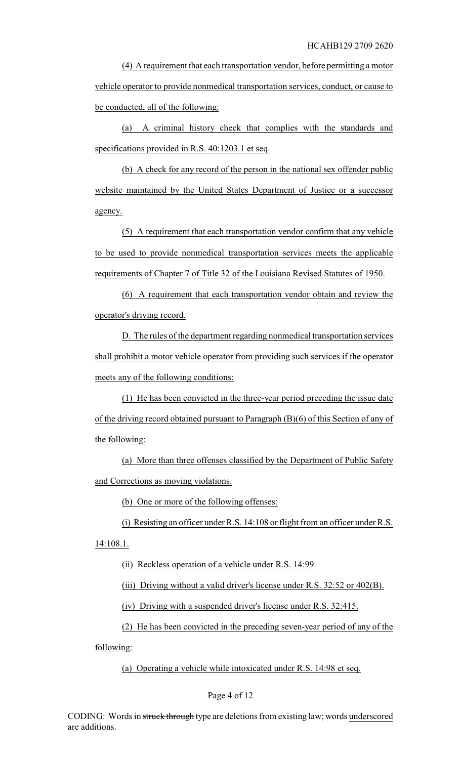(4) A requirement that each transportation vendor, before permitting a motor vehicle operator to provide nonmedical transportation services, conduct, or cause to be conducted, all of the following:

(a) A criminal history check that complies with the standards and specifications provided in R.S. 40:1203.1 et seq.

(b) A check for any record of the person in the national sex offender public website maintained by the United States Department of Justice or a successor agency.

(5) A requirement that each transportation vendor confirm that any vehicle to be used to provide nonmedical transportation services meets the applicable requirements of Chapter 7 of Title 32 of the Louisiana Revised Statutes of 1950.

(6) A requirement that each transportation vendor obtain and review the operator's driving record.

D. The rules of the department regarding nonmedical transportation services shall prohibit a motor vehicle operator from providing such services if the operator meets any of the following conditions:

(1) He has been convicted in the three-year period preceding the issue date of the driving record obtained pursuant to Paragraph (B)(6) of this Section of any of the following:

(a) More than three offenses classified by the Department of Public Safety and Corrections as moving violations.

(b) One or more of the following offenses:

(i) Resisting an officer under R.S. 14:108 or flight from an officer under R.S.

14:108.1.

(ii) Reckless operation of a vehicle under R.S. 14:99.

(iii) Driving without a valid driver's license under R.S. 32:52 or 402(B).

(iv) Driving with a suspended driver's license under R.S. 32:415.

(2) He has been convicted in the preceding seven-year period of any of the

following:

(a) Operating a vehicle while intoxicated under R.S. 14:98 et seq.

#### Page 4 of 12

CODING: Words in struck through type are deletions from existing law; words underscored are additions.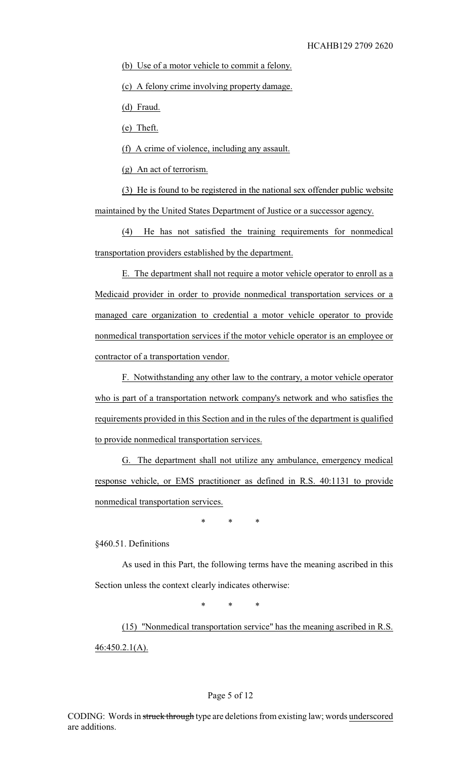(b) Use of a motor vehicle to commit a felony.

(c) A felony crime involving property damage.

(d) Fraud.

(e) Theft.

(f) A crime of violence, including any assault.

(g) An act of terrorism.

(3) He is found to be registered in the national sex offender public website maintained by the United States Department of Justice or a successor agency.

(4) He has not satisfied the training requirements for nonmedical transportation providers established by the department.

E. The department shall not require a motor vehicle operator to enroll as a Medicaid provider in order to provide nonmedical transportation services or a managed care organization to credential a motor vehicle operator to provide nonmedical transportation services if the motor vehicle operator is an employee or contractor of a transportation vendor.

F. Notwithstanding any other law to the contrary, a motor vehicle operator who is part of a transportation network company's network and who satisfies the requirements provided in this Section and in the rules of the department is qualified to provide nonmedical transportation services.

G. The department shall not utilize any ambulance, emergency medical response vehicle, or EMS practitioner as defined in R.S. 40:1131 to provide nonmedical transportation services.

\* \* \*

§460.51. Definitions

As used in this Part, the following terms have the meaning ascribed in this Section unless the context clearly indicates otherwise:

\* \* \*

(15) "Nonmedical transportation service" has the meaning ascribed in R.S. 46:450.2.1(A).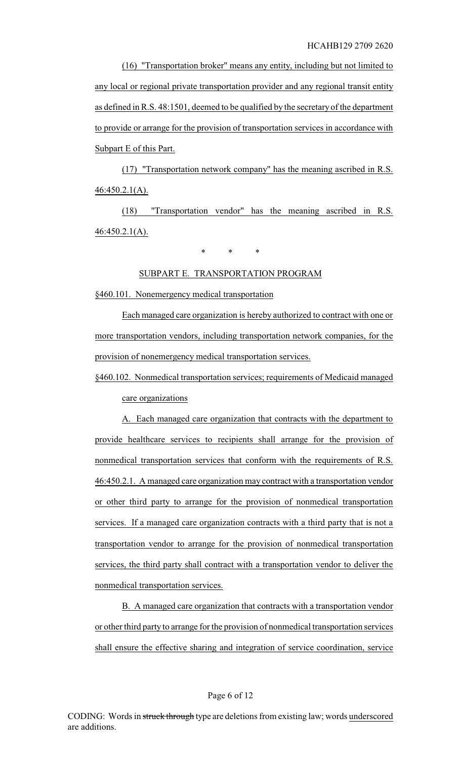(16) "Transportation broker" means any entity, including but not limited to any local or regional private transportation provider and any regional transit entity as defined in R.S. 48:1501, deemed to be qualified by the secretary of the department to provide or arrange for the provision of transportation services in accordance with Subpart E of this Part.

(17) "Transportation network company" has the meaning ascribed in R.S. 46:450.2.1(A).

(18) "Transportation vendor" has the meaning ascribed in R.S. 46:450.2.1(A).

\* \* \*

#### SUBPART E. TRANSPORTATION PROGRAM

§460.101. Nonemergency medical transportation

Each managed care organization is hereby authorized to contract with one or more transportation vendors, including transportation network companies, for the provision of nonemergency medical transportation services.

§460.102. Nonmedical transportation services; requirements of Medicaid managed care organizations

A. Each managed care organization that contracts with the department to provide healthcare services to recipients shall arrange for the provision of nonmedical transportation services that conform with the requirements of R.S. 46:450.2.1. A managed care organization may contract with a transportation vendor or other third party to arrange for the provision of nonmedical transportation services. If a managed care organization contracts with a third party that is not a transportation vendor to arrange for the provision of nonmedical transportation services, the third party shall contract with a transportation vendor to deliver the nonmedical transportation services.

B. A managed care organization that contracts with a transportation vendor or other third party to arrange for the provision of nonmedical transportation services shall ensure the effective sharing and integration of service coordination, service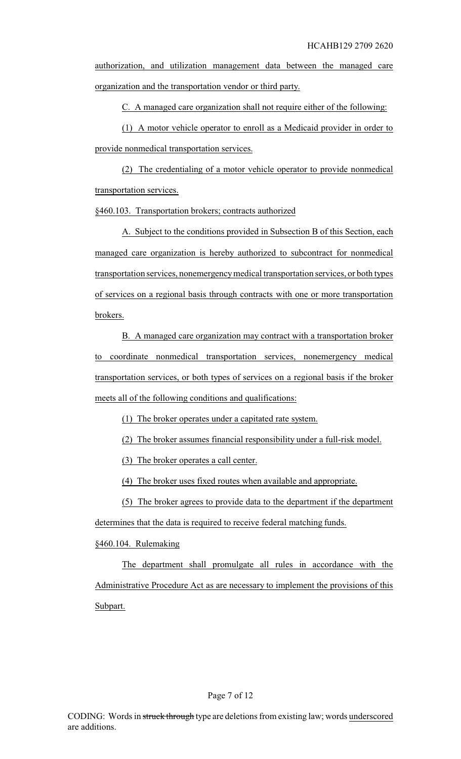authorization, and utilization management data between the managed care organization and the transportation vendor or third party.

C. A managed care organization shall not require either of the following:

(1) A motor vehicle operator to enroll as a Medicaid provider in order to provide nonmedical transportation services.

(2) The credentialing of a motor vehicle operator to provide nonmedical transportation services.

§460.103. Transportation brokers; contracts authorized

A. Subject to the conditions provided in Subsection B of this Section, each managed care organization is hereby authorized to subcontract for nonmedical transportation services, nonemergencymedical transportation services, or both types of services on a regional basis through contracts with one or more transportation brokers.

B. A managed care organization may contract with a transportation broker to coordinate nonmedical transportation services, nonemergency medical transportation services, or both types of services on a regional basis if the broker meets all of the following conditions and qualifications:

(1) The broker operates under a capitated rate system.

(2) The broker assumes financial responsibility under a full-risk model.

(3) The broker operates a call center.

(4) The broker uses fixed routes when available and appropriate.

(5) The broker agrees to provide data to the department if the department determines that the data is required to receive federal matching funds.

§460.104. Rulemaking

The department shall promulgate all rules in accordance with the Administrative Procedure Act as are necessary to implement the provisions of this Subpart.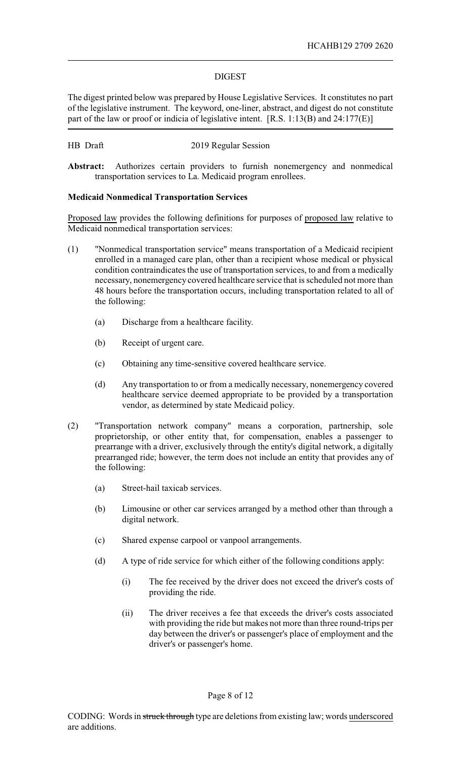### DIGEST

The digest printed below was prepared by House Legislative Services. It constitutes no part of the legislative instrument. The keyword, one-liner, abstract, and digest do not constitute part of the law or proof or indicia of legislative intent. [R.S. 1:13(B) and 24:177(E)]

### HB Draft 2019 Regular Session

**Abstract:** Authorizes certain providers to furnish nonemergency and nonmedical transportation services to La. Medicaid program enrollees.

## **Medicaid Nonmedical Transportation Services**

Proposed law provides the following definitions for purposes of proposed law relative to Medicaid nonmedical transportation services:

- (1) "Nonmedical transportation service" means transportation of a Medicaid recipient enrolled in a managed care plan, other than a recipient whose medical or physical condition contraindicates the use of transportation services, to and from a medically necessary, nonemergency covered healthcare service that is scheduled not more than 48 hours before the transportation occurs, including transportation related to all of the following:
	- (a) Discharge from a healthcare facility.
	- (b) Receipt of urgent care.
	- (c) Obtaining any time-sensitive covered healthcare service.
	- (d) Any transportation to or from a medically necessary, nonemergency covered healthcare service deemed appropriate to be provided by a transportation vendor, as determined by state Medicaid policy.
- (2) "Transportation network company" means a corporation, partnership, sole proprietorship, or other entity that, for compensation, enables a passenger to prearrange with a driver, exclusively through the entity's digital network, a digitally prearranged ride; however, the term does not include an entity that provides any of the following:
	- (a) Street-hail taxicab services.
	- (b) Limousine or other car services arranged by a method other than through a digital network.
	- (c) Shared expense carpool or vanpool arrangements.
	- (d) A type of ride service for which either of the following conditions apply:
		- (i) The fee received by the driver does not exceed the driver's costs of providing the ride.
		- (ii) The driver receives a fee that exceeds the driver's costs associated with providing the ride but makes not more than three round-trips per day between the driver's or passenger's place of employment and the driver's or passenger's home.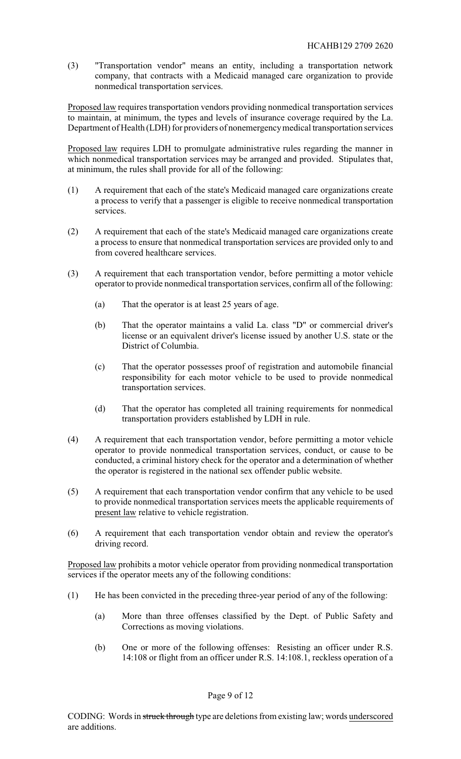(3) "Transportation vendor" means an entity, including a transportation network company, that contracts with a Medicaid managed care organization to provide nonmedical transportation services.

Proposed law requires transportation vendors providing nonmedical transportation services to maintain, at minimum, the types and levels of insurance coverage required by the La. Department of Health (LDH) for providers of nonemergencymedical transportation services

Proposed law requires LDH to promulgate administrative rules regarding the manner in which nonmedical transportation services may be arranged and provided. Stipulates that, at minimum, the rules shall provide for all of the following:

- (1) A requirement that each of the state's Medicaid managed care organizations create a process to verify that a passenger is eligible to receive nonmedical transportation services.
- (2) A requirement that each of the state's Medicaid managed care organizations create a process to ensure that nonmedical transportation services are provided only to and from covered healthcare services.
- (3) A requirement that each transportation vendor, before permitting a motor vehicle operator to provide nonmedical transportation services, confirm all of the following:
	- (a) That the operator is at least 25 years of age.
	- (b) That the operator maintains a valid La. class "D" or commercial driver's license or an equivalent driver's license issued by another U.S. state or the District of Columbia.
	- (c) That the operator possesses proof of registration and automobile financial responsibility for each motor vehicle to be used to provide nonmedical transportation services.
	- (d) That the operator has completed all training requirements for nonmedical transportation providers established by LDH in rule.
- (4) A requirement that each transportation vendor, before permitting a motor vehicle operator to provide nonmedical transportation services, conduct, or cause to be conducted, a criminal history check for the operator and a determination of whether the operator is registered in the national sex offender public website.
- (5) A requirement that each transportation vendor confirm that any vehicle to be used to provide nonmedical transportation services meets the applicable requirements of present law relative to vehicle registration.
- (6) A requirement that each transportation vendor obtain and review the operator's driving record.

Proposed law prohibits a motor vehicle operator from providing nonmedical transportation services if the operator meets any of the following conditions:

- (1) He has been convicted in the preceding three-year period of any of the following:
	- (a) More than three offenses classified by the Dept. of Public Safety and Corrections as moving violations.
	- (b) One or more of the following offenses: Resisting an officer under R.S. 14:108 or flight from an officer under R.S. 14:108.1, reckless operation of a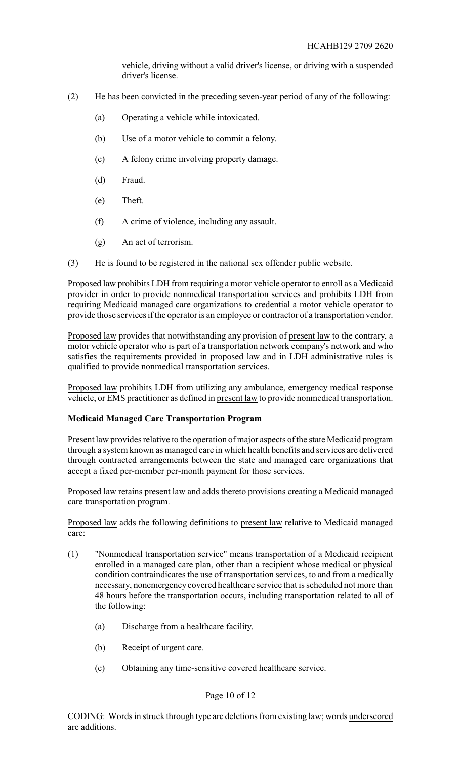vehicle, driving without a valid driver's license, or driving with a suspended driver's license.

- (2) He has been convicted in the preceding seven-year period of any of the following:
	- (a) Operating a vehicle while intoxicated.
	- (b) Use of a motor vehicle to commit a felony.
	- (c) A felony crime involving property damage.
	- (d) Fraud.
	- (e) Theft.
	- (f) A crime of violence, including any assault.
	- (g) An act of terrorism.
- (3) He is found to be registered in the national sex offender public website.

Proposed law prohibits LDH from requiring a motor vehicle operator to enroll as a Medicaid provider in order to provide nonmedical transportation services and prohibits LDH from requiring Medicaid managed care organizations to credential a motor vehicle operator to provide those services if the operator is an employee or contractor of a transportation vendor.

Proposed law provides that notwithstanding any provision of present law to the contrary, a motor vehicle operator who is part of a transportation network company's network and who satisfies the requirements provided in proposed law and in LDH administrative rules is qualified to provide nonmedical transportation services.

Proposed law prohibits LDH from utilizing any ambulance, emergency medical response vehicle, or EMS practitioner as defined in present law to provide nonmedical transportation.

### **Medicaid Managed Care Transportation Program**

Present law provides relative to the operation of major aspects of the state Medicaid program through a system known as managed care in which health benefits and services are delivered through contracted arrangements between the state and managed care organizations that accept a fixed per-member per-month payment for those services.

Proposed law retains present law and adds thereto provisions creating a Medicaid managed care transportation program.

Proposed law adds the following definitions to present law relative to Medicaid managed care:

- (1) "Nonmedical transportation service" means transportation of a Medicaid recipient enrolled in a managed care plan, other than a recipient whose medical or physical condition contraindicates the use of transportation services, to and from a medically necessary, nonemergency covered healthcare service that is scheduled not more than 48 hours before the transportation occurs, including transportation related to all of the following:
	- (a) Discharge from a healthcare facility.
	- (b) Receipt of urgent care.
	- (c) Obtaining any time-sensitive covered healthcare service.

### Page 10 of 12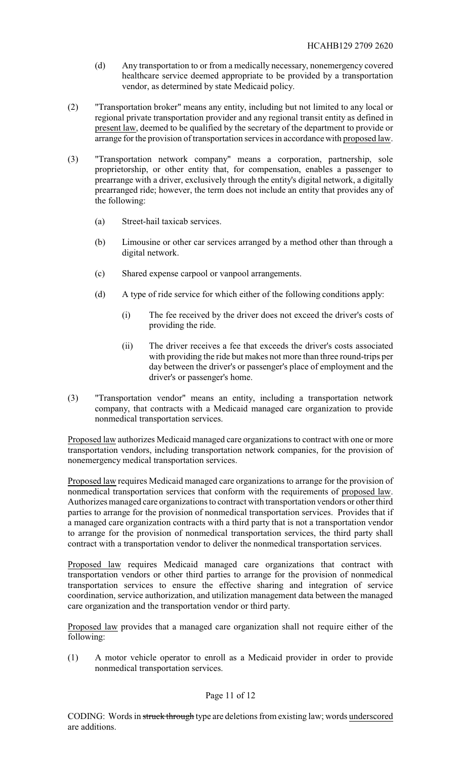- (d) Any transportation to or from a medically necessary, nonemergency covered healthcare service deemed appropriate to be provided by a transportation vendor, as determined by state Medicaid policy.
- (2) "Transportation broker" means any entity, including but not limited to any local or regional private transportation provider and any regional transit entity as defined in present law, deemed to be qualified by the secretary of the department to provide or arrange for the provision of transportation services in accordance with proposed law.
- (3) "Transportation network company" means a corporation, partnership, sole proprietorship, or other entity that, for compensation, enables a passenger to prearrange with a driver, exclusively through the entity's digital network, a digitally prearranged ride; however, the term does not include an entity that provides any of the following:
	- (a) Street-hail taxicab services.
	- (b) Limousine or other car services arranged by a method other than through a digital network.
	- (c) Shared expense carpool or vanpool arrangements.
	- (d) A type of ride service for which either of the following conditions apply:
		- (i) The fee received by the driver does not exceed the driver's costs of providing the ride.
		- (ii) The driver receives a fee that exceeds the driver's costs associated with providing the ride but makes not more than three round-trips per day between the driver's or passenger's place of employment and the driver's or passenger's home.
- (3) "Transportation vendor" means an entity, including a transportation network company, that contracts with a Medicaid managed care organization to provide nonmedical transportation services.

Proposed law authorizes Medicaid managed care organizations to contract with one or more transportation vendors, including transportation network companies, for the provision of nonemergency medical transportation services.

Proposed law requires Medicaid managed care organizations to arrange for the provision of nonmedical transportation services that conform with the requirements of proposed law. Authorizes managed care organizations to contract with transportation vendors or other third parties to arrange for the provision of nonmedical transportation services. Provides that if a managed care organization contracts with a third party that is not a transportation vendor to arrange for the provision of nonmedical transportation services, the third party shall contract with a transportation vendor to deliver the nonmedical transportation services.

Proposed law requires Medicaid managed care organizations that contract with transportation vendors or other third parties to arrange for the provision of nonmedical transportation services to ensure the effective sharing and integration of service coordination, service authorization, and utilization management data between the managed care organization and the transportation vendor or third party.

Proposed law provides that a managed care organization shall not require either of the following:

(1) A motor vehicle operator to enroll as a Medicaid provider in order to provide nonmedical transportation services.